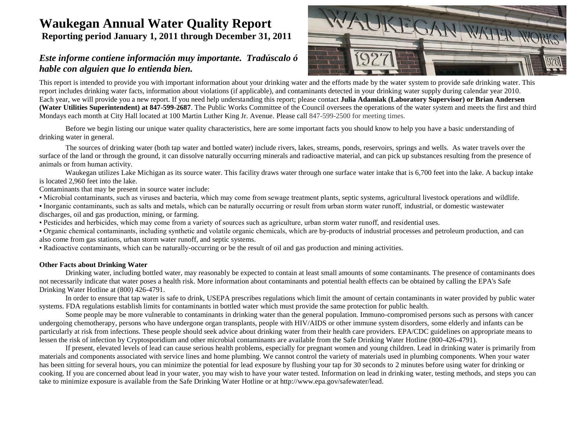# **Waukegan Annual Water Quality Report Reporting period January 1, 2011 through December 31, 2011**

## *Este informe contiene información muy importante. Tradúscalo ó hable con alguien que lo entienda bien.*



This report is intended to provide you with important information about your drinking water and the efforts made by the water system to provide safe drinking water. This report includes drinking water facts, information about violations (if applicable), and contaminants detected in your drinking water supply during calendar year 2010. Each year, we will provide you a new report. If you need help understanding this report; please contact **Julia Adamiak (Laboratory Supervisor) or Brian Andersen (Water Utilities Superintendent) at 847-599-2687**. The Public Works Committee of the Council oversees the operations of the water system and meets the first and third Mondays each month at City Hall located at 100 Martin Luther King Jr. Avenue. Please call 847-599-2500 for meeting times.

Before we begin listing our unique water quality characteristics, here are some important facts you should know to help you have a basic understanding of drinking water in general.

The sources of drinking water (both tap water and bottled water) include rivers, lakes, streams, ponds, reservoirs, springs and wells. As water travels over the surface of the land or through the ground, it can dissolve naturally occurring minerals and radioactive material, and can pick up substances resulting from the presence of animals or from human activity.

Waukegan utilizes Lake Michigan as its source water. This facility draws water through one surface water intake that is 6,700 feet into the lake. A backup intake is located 2,960 feet into the lake.

Contaminants that may be present in source water include:

• Microbial contaminants, such as viruses and bacteria, which may come from sewage treatment plants, septic systems, agricultural livestock operations and wildlife.

• Inorganic contaminants, such as salts and metals, which can be naturally occurring or result from urban storm water runoff, industrial, or domestic wastewater discharges, oil and gas production, mining, or farming.

• Pesticides and herbicides, which may come from a variety of sources such as agriculture, urban storm water runoff, and residential uses.

• Organic chemical contaminants, including synthetic and volatile organic chemicals, which are by-products of industrial processes and petroleum production, and can also come from gas stations, urban storm water runoff, and septic systems.

• Radioactive contaminants, which can be naturally-occurring or be the result of oil and gas production and mining activities.

## **Other Facts about Drinking Water**

Drinking water, including bottled water, may reasonably be expected to contain at least small amounts of some contaminants. The presence of contaminants does not necessarily indicate that water poses a health risk. More information about contaminants and potential health effects can be obtained by calling the EPA's Safe Drinking Water Hotline at (800) 426-4791.

In order to ensure that tap water is safe to drink, USEPA prescribes regulations which limit the amount of certain contaminants in water provided by public water systems. FDA regulations establish limits for contaminants in bottled water which must provide the same protection for public health.

Some people may be more vulnerable to contaminants in drinking water than the general population. Immuno-compromised persons such as persons with cancer undergoing chemotherapy, persons who have undergone organ transplants, people with HIV/AIDS or other immune system disorders, some elderly and infants can be particularly at risk from infections. These people should seek advice about drinking water from their health care providers. EPA/CDC guidelines on appropriate means to lessen the risk of infection by Cryptosporidium and other microbial contaminants are available from the Safe Drinking Water Hotline (800-426-4791).

If present, elevated levels of lead can cause serious health problems, especially for pregnant women and young children. Lead in drinking water is primarily from materials and components associated with service lines and home plumbing. We cannot control the variety of materials used in plumbing components. When your water has been sitting for several hours, you can minimize the potential for lead exposure by flushing your tap for 30 seconds to 2 minutes before using water for drinking or cooking. If you are concerned about lead in your water, you may wish to have your water tested. Information on lead in drinking water, testing methods, and steps you can take to minimize exposure is available from the Safe Drinking Water Hotline or at http://www.epa.gov/safewater/lead.